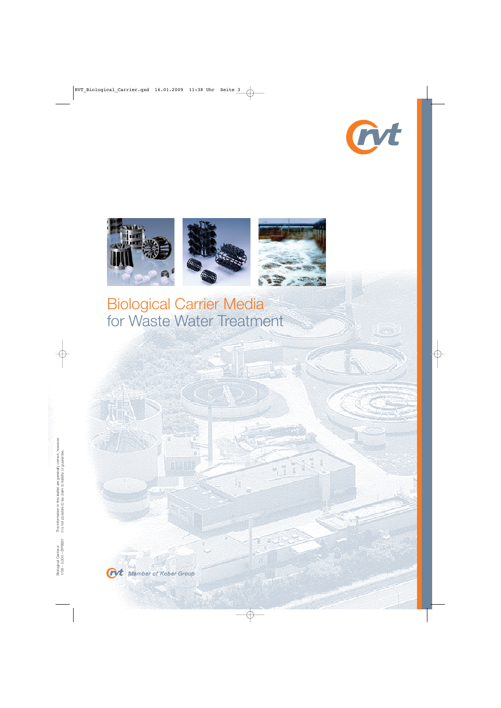







Biological Carrier Media for Waste Water Treatment

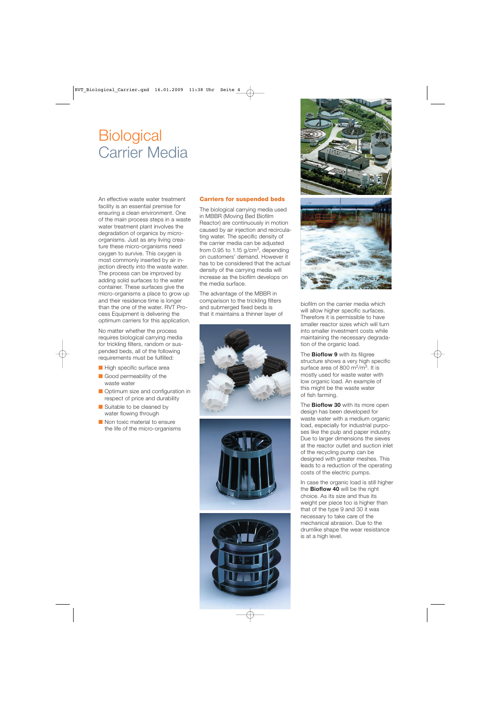# **Biological** Carrier Media

An effective waste water treatment facility is an essential premise for ensuring a clean environment. One of the main process steps in a waste water treatment plant involves the degradation of organics by microorganisms. Just as any living creature these micro-organisms need oxygen to survive. This oxygen is most commonly inserted by air injection directly into the waste water. The process can be improved by adding solid surfaces to the water container. These surfaces give the micro-organisms a place to grow up and their residence time is longer than the one of the water. RVT Process Equipment is delivering the optimum carriers for this application.

No matter whether the process requires biological carrying media for trickling filters, random or suspended beds, all of the following requirements must be fulfilled:

- High specific surface area
- Good permeability of the waste water
- Optimum size and configuration in respect of price and durability
- Suitable to be cleaned by water flowing through
- Non toxic material to ensure the life of the micro-organisms

### **Carriers for suspended beds**

The biological carrying media used in MBBR (Moving Bed Biofilm Reactor) are continuously in motion caused by air injection and recirculating water. The specific density of the carrier media can be adjusted from 0.95 to 1.15  $q/cm<sup>3</sup>$ , depending on customers' demand. However it has to be considered that the actual density of the carrying media will increase as the biofilm develops on the media surface.

The advantage of the MBBR in comparison to the trickling filters and submerged fixed beds is that it maintains a thinner layer of







biofilm on the carrier media which will allow higher specific surfaces. Therefore it is permissible to have smaller reactor sizes which will turn into smaller investment costs while maintaining the necessary degradation of the organic load.

The **Bioflow 9** with its filigree structure shows a very high specific surface area of 800 m<sup>2</sup>/m<sup>3</sup>. It is mostly used for waste water with low organic load. An example of this might be the waste water of fish farming.

The **Bioflow 30** with its more open design has been developed for waste water with a medium organic load, especially for industrial purposes like the pulp and paper industry. Due to larger dimensions the sieves at the reactor outlet and suction inlet of the recycling pump can be designed with greater meshes. This leads to a reduction of the operating costs of the electric pumps.

In case the organic load is still higher the **Bioflow 40** will be the right choice. As its size and thus its weight per piece too is higher than that of the type 9 and 30 it was necessary to take care of the mechanical abrasion. Due to the drumlike shape the wear resistance is at a high level.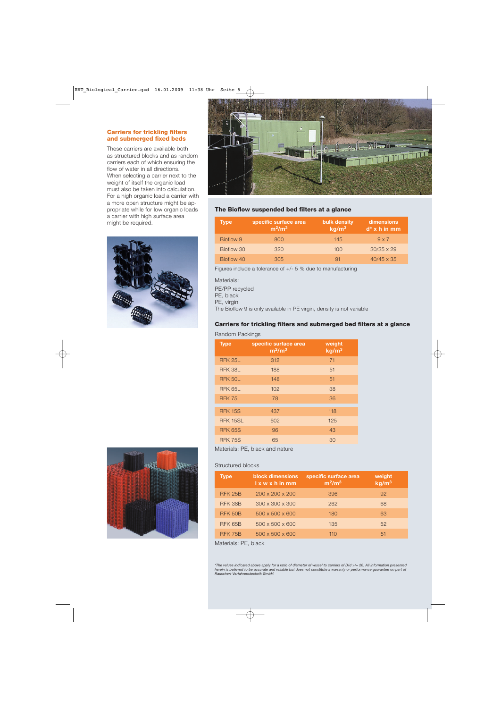# **Carriers for trickling filters and submerged fixed beds**

These carriers are available both as structured blocks and as random carriers each of which ensuring the flow of water in all directions. When selecting a carrier next to the weight of itself the organic load must also be taken into calculation. For a high organic load a carrier with a more open structure might be appropriate while for low organic loads a carrier with high surface area might be required.







## **The Bioflow suspended bed filters at a glance**

| <b>Type</b> | specific surface area<br>$m^2/m^3$ | bulk density<br>kg/m <sup>3</sup> | dimensions<br>$d^*$ x h in mm |
|-------------|------------------------------------|-----------------------------------|-------------------------------|
| Bioflow 9   | 800                                | 145                               | $9 \times 7$                  |
| Bioflow 30  | 320                                | 100                               | $30/35 \times 29$             |
| Bioflow 40  | 305                                | 91                                | $40/45 \times 35$             |

Figures include a tolerance of +/- 5 % due to manufacturing

#### Materials:

PE/PP recycled

PE, black

PE, virgin

The Bioflow 9 is only available in PE virgin, density is not variable

# **Carriers for trickling filters and submerged bed filters at a glance**

#### Random Packings

| <b>Type</b>    | specific surface area<br>$m^2/m^3$ | weight<br>kg/m <sup>3</sup> |
|----------------|------------------------------------|-----------------------------|
| <b>RFK 25L</b> | 312                                | 71                          |
| RFK 38L        | 188                                | 51                          |
| RFK 50L        | 148                                | 51                          |
| RFK 65L        | 102                                | 38                          |
| RFK 75L        | 78                                 | 36                          |
| <b>RFK 15S</b> | 437                                | 118                         |
| RFK 15SL       | 602                                | 125                         |
| <b>RFK 65S</b> | 96                                 | 43                          |
| <b>RFK 75S</b> | 65                                 | 30                          |

Materials: PE, black and nature

#### Structured blocks

| <b>Type</b>    | <b>block dimensions</b><br>$l \times w \times h$ in mm | specific surface area<br>$m^2/m^3$ | weight<br>kg/m <sup>3</sup> |
|----------------|--------------------------------------------------------|------------------------------------|-----------------------------|
| <b>RFK 25B</b> | $200 \times 200 \times 200$                            | 396                                | 92                          |
| RFK 38B        | $300 \times 300 \times 300$                            | 262                                | 68                          |
| <b>RFK 50B</b> | $500 \times 500 \times 600$                            | 180                                | 63                          |
| <b>RFK 65B</b> | $500 \times 500 \times 600$                            | 135                                | 52                          |
| <b>RFK 75B</b> | $500 \times 500 \times 600$                            | 110                                | 51                          |

Materials: PE, black

\*The values indicated above apply for a ratio of diameter of vessel to carriers of D/d >/= 20. All information presented<br>herein is believed to be accurate and reliable but does not constitute a warranty or performance guar *Rauschert Verfahrenstechnik GmbH.*